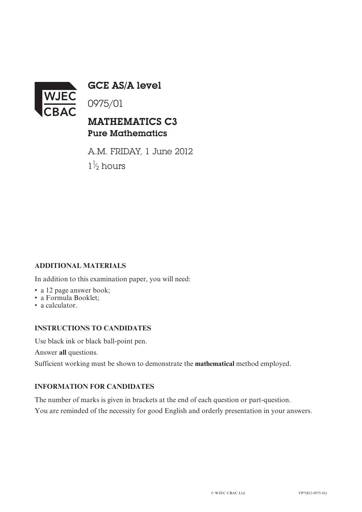

GCE AS/A level

0975/01

## MATHEMATICS C3 Pure Mathematics

A.M. FRIDAY, 1 June 2012  $1\frac{1}{2}$  hours ⁄

### **ADDITIONAL MATERIALS**

In addition to this examination paper, you will need:

- a 12 page answer book;
- a Formula Booklet;
- a calculator.

#### **INSTRUCTIONS TO CANDIDATES**

Use black ink or black ball-point pen.

Answer **all** questions.

Sufficient working must be shown to demonstrate the **mathematical** method employed.

#### **INFORMATION FOR CANDIDATES**

The number of marks is given in brackets at the end of each question or part-question. You are reminded of the necessity for good English and orderly presentation in your answers.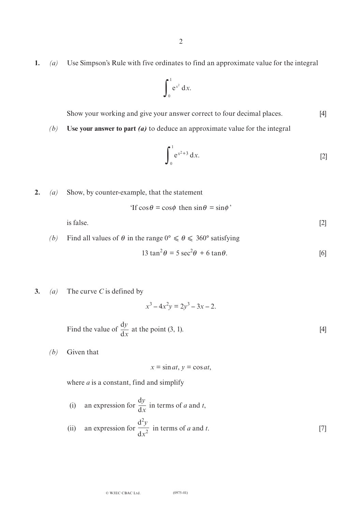**1.** *(a)* Use Simpson's Rule with five ordinates to find an approximate value for the integral

$$
\int_0^1 e^{x^2} dx.
$$

Show your working and give your answer correct to four decimal places. [4]

*(b)* **Use your answer to part** *(a)* to deduce an approximate value for the integral

$$
\int_0^1 e^{x^2+3} dx.
$$
 [2]

**2.** *(a)* Show, by counter-example, that the statement

'If  $\cos \theta = \cos \phi$  then  $\sin \theta = \sin \phi'$ 

is false.  $[2]$ 

*(b)* Find all values of  $\theta$  in the range  $0^{\circ} \le \theta \le 360^{\circ}$  satisfying

$$
13 \tan^2 \theta = 5 \sec^2 \theta + 6 \tan \theta.
$$
 [6]

**3.** *(a)* The curve *C* is defined by

 $x^3 - 4x^2y = 2y^3 - 3x - 2.$ 

Find the value of 
$$
\frac{dy}{dx}
$$
 at the point (3, 1). [4]

*(b)* Given that

 $x = \sin at$ ,  $y = \cos at$ ,

where *a* is a constant, find and simplify

(i) an expression for 
$$
\frac{dy}{dx}
$$
 in terms of *a* and *t*,  
(ii) an expression for  $\frac{d^2y}{dx^2}$  in terms of *a* and *t*. [7]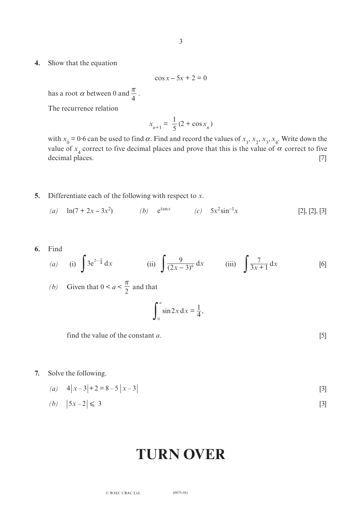**4.** Show that the equation

$$
\cos x - 5x + 2 = 0
$$

has a root  $\alpha$  between 0 and  $\frac{\pi}{4}$ . 4

The recurrence relation

$$
x_{n+1} = \frac{1}{5} (2 + \cos x_n)
$$

with  $x_0 = 0.6$  can be used to find  $\alpha$ . Find and record the values of  $x_1, x_2, x_3, x_4$ . Write down the value of  $x_4$  correct to five decimal places and prove that this is the value of  $\alpha$  correct to five decimal places. [7]

- **5.** Differentiate each of the following with respect to *x*.
	- (a)  $\ln(7 + 2x 3x^2)$  *(b)*  $e^{\tan x}$  *(c)*  $5x^2 \sin^{-1}$  $[2], [2], [3]$
- **6.** Find *(a)* (i)  $\int 3e^{2-\frac{x}{4}} dx$  (ii)  $\int \frac{9}{(2x-3)^6} dx$  (iii)  $\int \frac{7}{3x+1} dx$  [6] *(b)* Given that  $0 \le a \le \frac{1}{2}$  and that  $\pi$ 2  $\int \frac{9}{(2x-3)^6} dx$  (iii)  $\int \frac{7}{3x+1} dx$

$$
\int_0^a \sin 2x \, dx = \frac{1}{4},
$$

find the value of the constant *a*. [5]

- **7.** Solve the following.
	- $(a)$   $4|x-3|+2=8-5|x-3|$  [3]

$$
(b) \quad |5x-2| \leq 3 \tag{3}
$$

# **Turn over**